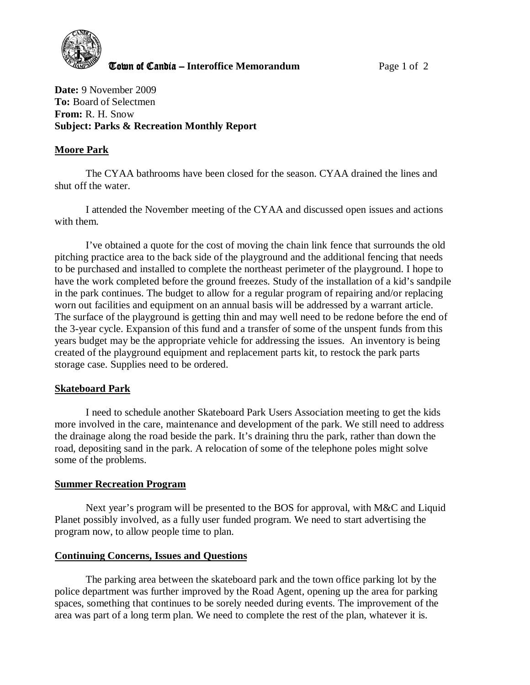

**The United Candia – Interoffice Memorandum** *Page 1 of 2* 

**Date:** 9 November 2009 **To:** Board of Selectmen **From:** R. H. Snow **Subject: Parks & Recreation Monthly Report** 

## **Moore Park**

The CYAA bathrooms have been closed for the season. CYAA drained the lines and shut off the water.

I attended the November meeting of the CYAA and discussed open issues and actions with them.

I've obtained a quote for the cost of moving the chain link fence that surrounds the old pitching practice area to the back side of the playground and the additional fencing that needs to be purchased and installed to complete the northeast perimeter of the playground. I hope to have the work completed before the ground freezes. Study of the installation of a kid's sandpile in the park continues. The budget to allow for a regular program of repairing and/or replacing worn out facilities and equipment on an annual basis will be addressed by a warrant article. The surface of the playground is getting thin and may well need to be redone before the end of the 3-year cycle. Expansion of this fund and a transfer of some of the unspent funds from this years budget may be the appropriate vehicle for addressing the issues. An inventory is being created of the playground equipment and replacement parts kit, to restock the park parts storage case. Supplies need to be ordered.

## **Skateboard Park**

 I need to schedule another Skateboard Park Users Association meeting to get the kids more involved in the care, maintenance and development of the park. We still need to address the drainage along the road beside the park. It's draining thru the park, rather than down the road, depositing sand in the park. A relocation of some of the telephone poles might solve some of the problems.

## **Summer Recreation Program**

Next year's program will be presented to the BOS for approval, with M&C and Liquid Planet possibly involved, as a fully user funded program. We need to start advertising the program now, to allow people time to plan.

## **Continuing Concerns, Issues and Questions**

The parking area between the skateboard park and the town office parking lot by the police department was further improved by the Road Agent, opening up the area for parking spaces, something that continues to be sorely needed during events. The improvement of the area was part of a long term plan. We need to complete the rest of the plan, whatever it is.